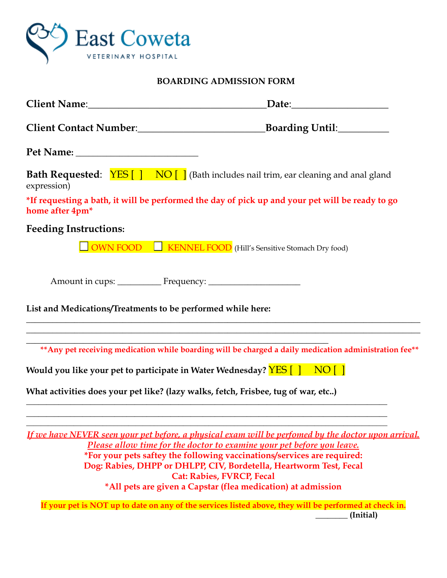

## **BOARDING ADMISSION FORM**

| Client Name: 1988 and 2008 and 2010 and 2010 and 2010 and 2010 and 2010 and 2010 and 2010 and 2010 and 2010 and 2010 and 2010 and 2010 and 2010 and 2010 and 2010 and 2010 and 2010 and 2010 and 2010 and 2010 and 2010 and 20 |                                                                                                                                               |
|--------------------------------------------------------------------------------------------------------------------------------------------------------------------------------------------------------------------------------|-----------------------------------------------------------------------------------------------------------------------------------------------|
|                                                                                                                                                                                                                                |                                                                                                                                               |
|                                                                                                                                                                                                                                |                                                                                                                                               |
| expression)                                                                                                                                                                                                                    | <b>Bath Requested:</b> $YES[ ] NO [ ]$ (Bath includes nail trim, ear cleaning and anal gland                                                  |
| home after 4pm <sup>*</sup>                                                                                                                                                                                                    | *If requesting a bath, it will be performed the day of pick up and your pet will be ready to go                                               |
| <b>Feeding Instructions:</b>                                                                                                                                                                                                   |                                                                                                                                               |
|                                                                                                                                                                                                                                | <b>OWN FOOD</b> EXENDEL FOOD (Hill's Sensitive Stomach Dry food)                                                                              |
|                                                                                                                                                                                                                                |                                                                                                                                               |
| List and Medications/Treatments to be performed while here:                                                                                                                                                                    |                                                                                                                                               |
|                                                                                                                                                                                                                                | ** Any pet receiving medication while boarding will be charged a daily medication administration fee**                                        |
| Would you like your pet to participate in Water Wednesday? $\frac{\text{YES}}{1}$ NO []                                                                                                                                        |                                                                                                                                               |
| What activities does your pet like? (lazy walks, fetch, Frisbee, tug of war, etc)                                                                                                                                              |                                                                                                                                               |
|                                                                                                                                                                                                                                | If we have NEVER seen your pet before, a physical exam will be perfomed by the doctor upon arrival.                                           |
|                                                                                                                                                                                                                                | Please allow time for the doctor to examine your pet before you leave.                                                                        |
|                                                                                                                                                                                                                                | *For your pets saftey the following vaccinations/services are required:<br>Dog: Rabies, DHPP or DHLPP, CIV, Bordetella, Heartworm Test, Fecal |
|                                                                                                                                                                                                                                | <b>Cat: Rabies, FVRCP, Fecal</b>                                                                                                              |
|                                                                                                                                                                                                                                | *All pets are given a Capstar (flea medication) at admission                                                                                  |
|                                                                                                                                                                                                                                | If your pet is NOT up to date on any of the services listed above, they will be performed at check in.                                        |

**\_\_\_\_\_\_\_\_ (Initial)**